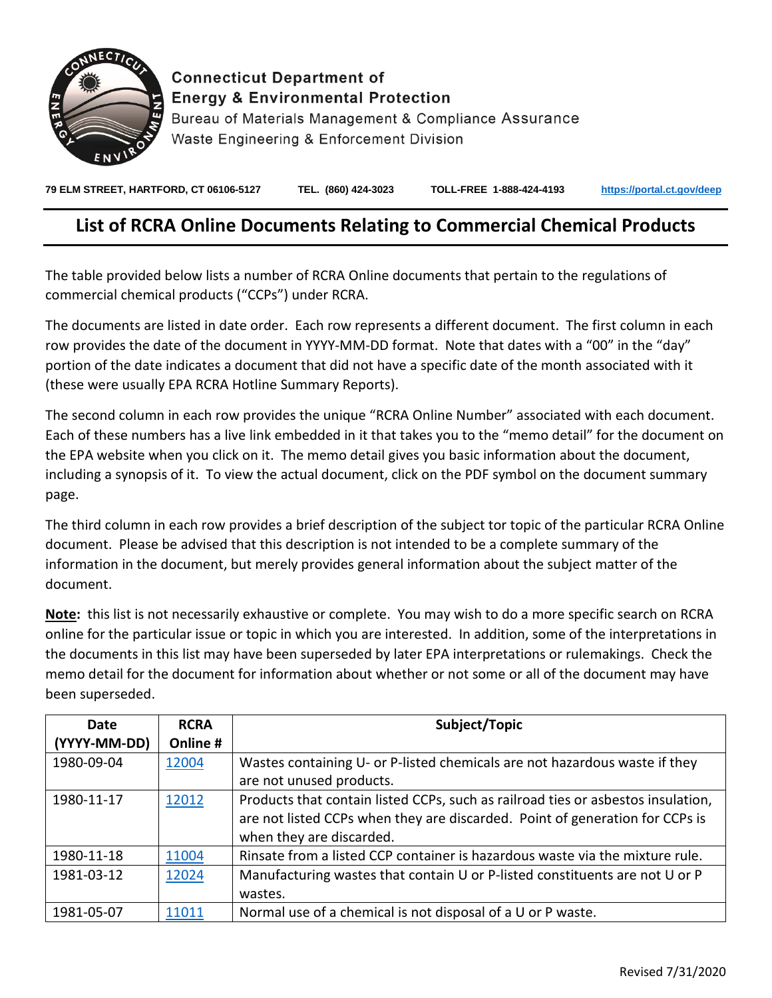

## **Connecticut Department of Energy & Environmental Protection**

Bureau of Materials Management & Compliance Assurance Waste Engineering & Enforcement Division

**79 ELM STREET, HARTFORD, CT 06106-5127 TEL. (860) 424-3023 TOLL-FREE 1-888-424-4193 <https://portal.ct.gov/deep>**

## **List of RCRA Online Documents Relating to Commercial Chemical Products**

The table provided below lists a number of RCRA Online documents that pertain to the regulations of commercial chemical products ("CCPs") under RCRA.

The documents are listed in date order. Each row represents a different document. The first column in each row provides the date of the document in YYYY-MM-DD format. Note that dates with a "00" in the "day" portion of the date indicates a document that did not have a specific date of the month associated with it (these were usually EPA RCRA Hotline Summary Reports).

The second column in each row provides the unique "RCRA Online Number" associated with each document. Each of these numbers has a live link embedded in it that takes you to the "memo detail" for the document on the EPA website when you click on it. The memo detail gives you basic information about the document, including a synopsis of it. To view the actual document, click on the PDF symbol on the document summary page.

The third column in each row provides a brief description of the subject tor topic of the particular RCRA Online document. Please be advised that this description is not intended to be a complete summary of the information in the document, but merely provides general information about the subject matter of the document.

**Note:** this list is not necessarily exhaustive or complete. You may wish to do a more specific search on RCRA online for the particular issue or topic in which you are interested. In addition, some of the interpretations in the documents in this list may have been superseded by later EPA interpretations or rulemakings. Check the memo detail for the document for information about whether or not some or all of the document may have been superseded.

| Date         | <b>RCRA</b> | Subject/Topic                                                                    |
|--------------|-------------|----------------------------------------------------------------------------------|
| (YYYY-MM-DD) | Online #    |                                                                                  |
| 1980-09-04   | 12004       | Wastes containing U- or P-listed chemicals are not hazardous waste if they       |
|              |             | are not unused products.                                                         |
| 1980-11-17   | 12012       | Products that contain listed CCPs, such as railroad ties or asbestos insulation, |
|              |             | are not listed CCPs when they are discarded. Point of generation for CCPs is     |
|              |             | when they are discarded.                                                         |
| 1980-11-18   | 11004       | Rinsate from a listed CCP container is hazardous waste via the mixture rule.     |
| 1981-03-12   | 12024       | Manufacturing wastes that contain U or P-listed constituents are not U or P      |
|              |             | wastes.                                                                          |
| 1981-05-07   | 11011       | Normal use of a chemical is not disposal of a U or P waste.                      |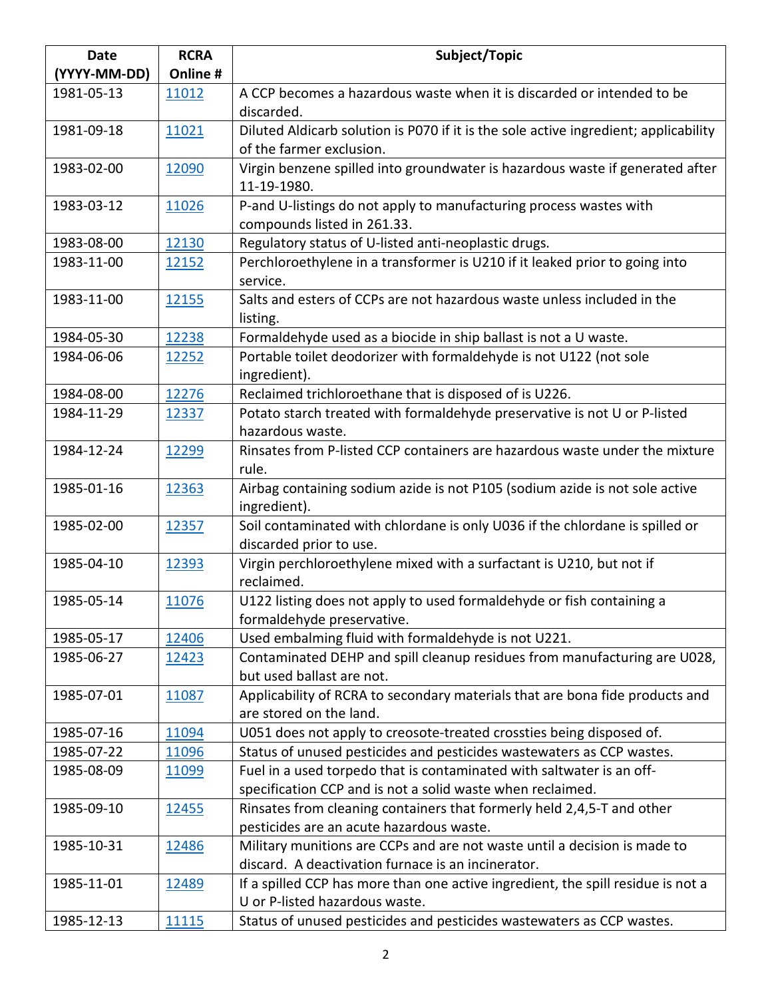| <b>Date</b>  | <b>RCRA</b>   | Subject/Topic                                                                        |
|--------------|---------------|--------------------------------------------------------------------------------------|
| (YYYY-MM-DD) | Online #      |                                                                                      |
| 1981-05-13   | 11012         | A CCP becomes a hazardous waste when it is discarded or intended to be               |
|              |               | discarded.                                                                           |
| 1981-09-18   | 11021         | Diluted Aldicarb solution is P070 if it is the sole active ingredient; applicability |
|              |               | of the farmer exclusion.                                                             |
| 1983-02-00   | 12090         | Virgin benzene spilled into groundwater is hazardous waste if generated after        |
|              |               | 11-19-1980.                                                                          |
| 1983-03-12   | 11026         | P-and U-listings do not apply to manufacturing process wastes with                   |
|              |               | compounds listed in 261.33.                                                          |
| 1983-08-00   | 12130         | Regulatory status of U-listed anti-neoplastic drugs.                                 |
| 1983-11-00   | 12152         | Perchloroethylene in a transformer is U210 if it leaked prior to going into          |
|              |               | service.                                                                             |
| 1983-11-00   | 12155         | Salts and esters of CCPs are not hazardous waste unless included in the              |
|              |               | listing.                                                                             |
| 1984-05-30   | 12238         | Formaldehyde used as a biocide in ship ballast is not a U waste.                     |
| 1984-06-06   | 12252         | Portable toilet deodorizer with formaldehyde is not U122 (not sole                   |
|              |               | ingredient).                                                                         |
| 1984-08-00   | 12276         | Reclaimed trichloroethane that is disposed of is U226.                               |
| 1984-11-29   | 12337         | Potato starch treated with formaldehyde preservative is not U or P-listed            |
|              |               | hazardous waste.                                                                     |
| 1984-12-24   | 12299         | Rinsates from P-listed CCP containers are hazardous waste under the mixture          |
|              |               | rule.                                                                                |
| 1985-01-16   | 12363         | Airbag containing sodium azide is not P105 (sodium azide is not sole active          |
|              |               | ingredient).                                                                         |
| 1985-02-00   | 12357         | Soil contaminated with chlordane is only U036 if the chlordane is spilled or         |
|              |               | discarded prior to use.                                                              |
| 1985-04-10   | 12393         | Virgin perchloroethylene mixed with a surfactant is U210, but not if<br>reclaimed.   |
| 1985-05-14   | 11076         | U122 listing does not apply to used formaldehyde or fish containing a                |
|              |               | formaldehyde preservative.                                                           |
| 1985-05-17   | 12406         | Used embalming fluid with formaldehyde is not U221.                                  |
| 1985-06-27   | 12423         | Contaminated DEHP and spill cleanup residues from manufacturing are U028,            |
|              |               | but used ballast are not.                                                            |
| 1985-07-01   | 11087         | Applicability of RCRA to secondary materials that are bona fide products and         |
|              |               | are stored on the land.                                                              |
| 1985-07-16   | 11094         | U051 does not apply to creosote-treated crossties being disposed of.                 |
| 1985-07-22   | 11096         | Status of unused pesticides and pesticides wastewaters as CCP wastes.                |
| 1985-08-09   | <u> 11099</u> | Fuel in a used torpedo that is contaminated with saltwater is an off-                |
|              |               | specification CCP and is not a solid waste when reclaimed.                           |
| 1985-09-10   | <u>12455</u>  | Rinsates from cleaning containers that formerly held 2,4,5-T and other               |
|              |               | pesticides are an acute hazardous waste.                                             |
| 1985-10-31   | 12486         | Military munitions are CCPs and are not waste until a decision is made to            |
|              |               | discard. A deactivation furnace is an incinerator.                                   |
| 1985-11-01   | 12489         | If a spilled CCP has more than one active ingredient, the spill residue is not a     |
|              |               | U or P-listed hazardous waste.                                                       |
| 1985-12-13   | 11115         | Status of unused pesticides and pesticides wastewaters as CCP wastes.                |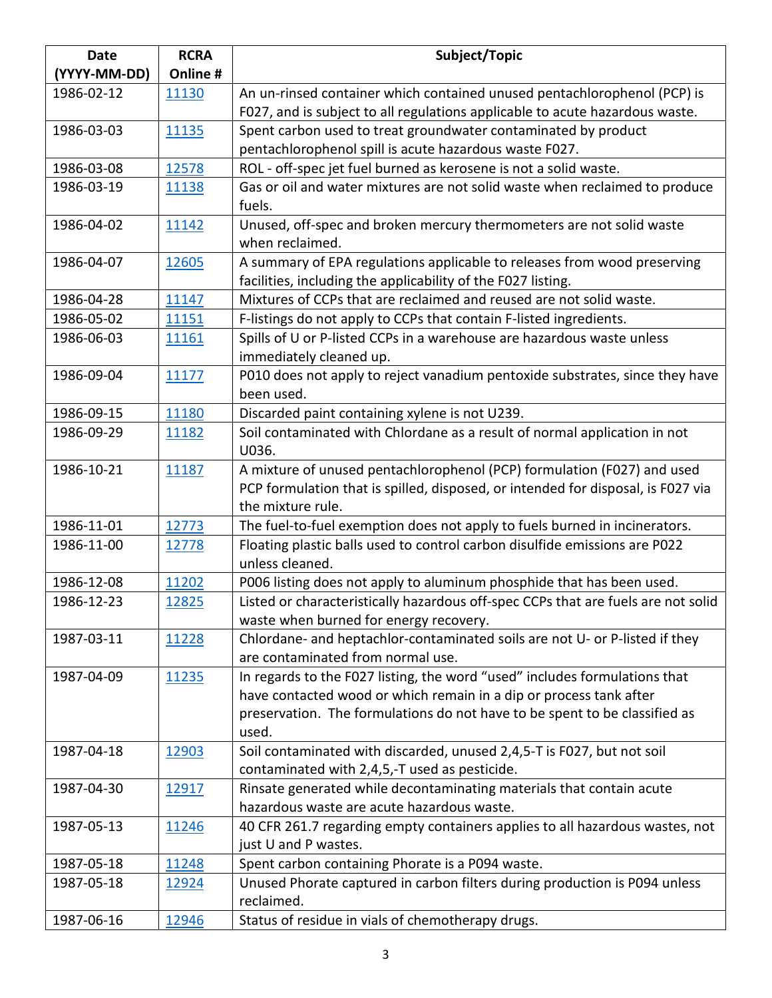| <b>Date</b>  | <b>RCRA</b> | Subject/Topic                                                                                                      |
|--------------|-------------|--------------------------------------------------------------------------------------------------------------------|
| (YYYY-MM-DD) | Online #    |                                                                                                                    |
| 1986-02-12   | 11130       | An un-rinsed container which contained unused pentachlorophenol (PCP) is                                           |
|              |             | F027, and is subject to all regulations applicable to acute hazardous waste.                                       |
| 1986-03-03   | 11135       | Spent carbon used to treat groundwater contaminated by product                                                     |
|              |             | pentachlorophenol spill is acute hazardous waste F027.                                                             |
| 1986-03-08   | 12578       | ROL - off-spec jet fuel burned as kerosene is not a solid waste.                                                   |
| 1986-03-19   | 11138       | Gas or oil and water mixtures are not solid waste when reclaimed to produce                                        |
|              |             | fuels.                                                                                                             |
| 1986-04-02   | 11142       | Unused, off-spec and broken mercury thermometers are not solid waste                                               |
|              |             | when reclaimed.                                                                                                    |
| 1986-04-07   | 12605       | A summary of EPA regulations applicable to releases from wood preserving                                           |
|              |             | facilities, including the applicability of the F027 listing.                                                       |
| 1986-04-28   | 11147       | Mixtures of CCPs that are reclaimed and reused are not solid waste.                                                |
| 1986-05-02   | 11151       | F-listings do not apply to CCPs that contain F-listed ingredients.                                                 |
| 1986-06-03   | 11161       | Spills of U or P-listed CCPs in a warehouse are hazardous waste unless                                             |
|              |             | immediately cleaned up.                                                                                            |
| 1986-09-04   | 11177       | P010 does not apply to reject vanadium pentoxide substrates, since they have                                       |
|              |             | been used.                                                                                                         |
| 1986-09-15   | 11180       | Discarded paint containing xylene is not U239.                                                                     |
| 1986-09-29   | 11182       | Soil contaminated with Chlordane as a result of normal application in not<br>U036.                                 |
| 1986-10-21   | 11187       | A mixture of unused pentachlorophenol (PCP) formulation (F027) and used                                            |
|              |             | PCP formulation that is spilled, disposed, or intended for disposal, is F027 via                                   |
|              |             | the mixture rule.                                                                                                  |
| 1986-11-01   | 12773       | The fuel-to-fuel exemption does not apply to fuels burned in incinerators.                                         |
| 1986-11-00   | 12778       | Floating plastic balls used to control carbon disulfide emissions are P022                                         |
|              |             | unless cleaned.                                                                                                    |
| 1986-12-08   | 11202       | P006 listing does not apply to aluminum phosphide that has been used.                                              |
| 1986-12-23   | 12825       | Listed or characteristically hazardous off-spec CCPs that are fuels are not solid                                  |
|              |             | waste when burned for energy recovery.                                                                             |
| 1987-03-11   | 11228       | Chlordane- and heptachlor-contaminated soils are not U- or P-listed if they                                        |
|              |             | are contaminated from normal use.                                                                                  |
| 1987-04-09   | 11235       | In regards to the F027 listing, the word "used" includes formulations that                                         |
|              |             | have contacted wood or which remain in a dip or process tank after                                                 |
|              |             | preservation. The formulations do not have to be spent to be classified as                                         |
|              |             | used.                                                                                                              |
| 1987-04-18   | 12903       | Soil contaminated with discarded, unused 2,4,5-T is F027, but not soil                                             |
|              |             | contaminated with 2,4,5,-T used as pesticide.                                                                      |
| 1987-04-30   | 12917       | Rinsate generated while decontaminating materials that contain acute<br>hazardous waste are acute hazardous waste. |
| 1987-05-13   |             |                                                                                                                    |
|              | 11246       | 40 CFR 261.7 regarding empty containers applies to all hazardous wastes, not<br>just U and P wastes.               |
| 1987-05-18   | 11248       | Spent carbon containing Phorate is a P094 waste.                                                                   |
| 1987-05-18   | 12924       | Unused Phorate captured in carbon filters during production is P094 unless                                         |
|              |             | reclaimed.                                                                                                         |
| 1987-06-16   | 12946       | Status of residue in vials of chemotherapy drugs.                                                                  |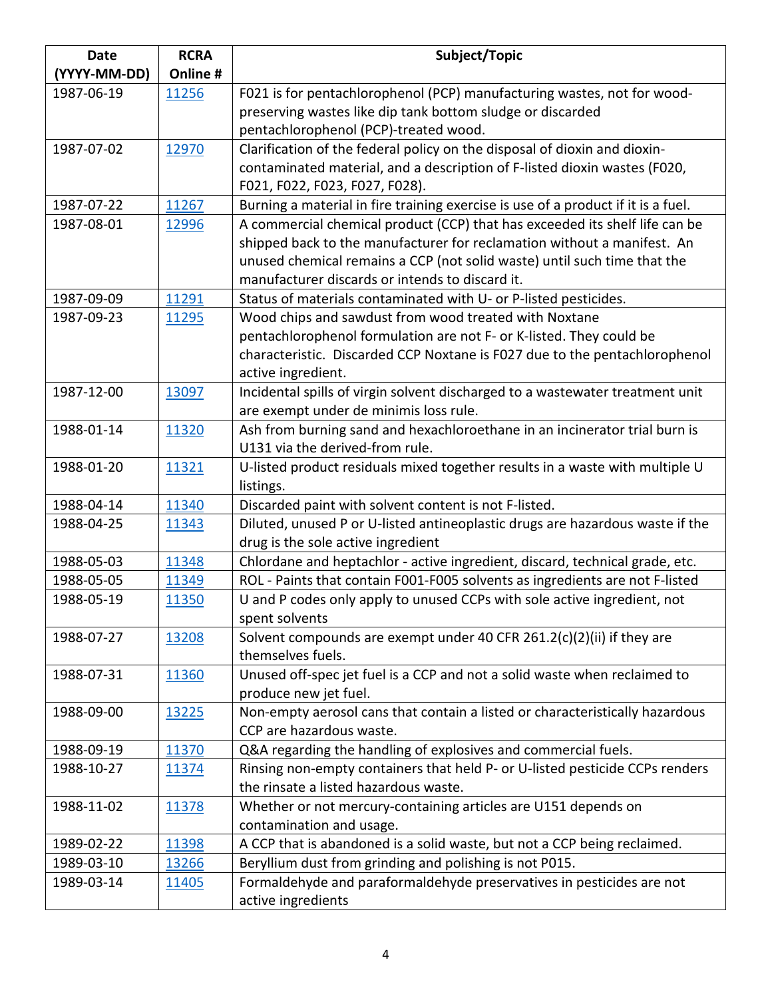| <b>Date</b>  | <b>RCRA</b> | Subject/Topic                                                                     |
|--------------|-------------|-----------------------------------------------------------------------------------|
| (YYYY-MM-DD) | Online #    |                                                                                   |
| 1987-06-19   | 11256       | F021 is for pentachlorophenol (PCP) manufacturing wastes, not for wood-           |
|              |             | preserving wastes like dip tank bottom sludge or discarded                        |
|              |             | pentachlorophenol (PCP)-treated wood.                                             |
| 1987-07-02   | 12970       | Clarification of the federal policy on the disposal of dioxin and dioxin-         |
|              |             | contaminated material, and a description of F-listed dioxin wastes (F020,         |
|              |             | F021, F022, F023, F027, F028).                                                    |
| 1987-07-22   | 11267       | Burning a material in fire training exercise is use of a product if it is a fuel. |
| 1987-08-01   | 12996       | A commercial chemical product (CCP) that has exceeded its shelf life can be       |
|              |             | shipped back to the manufacturer for reclamation without a manifest. An           |
|              |             | unused chemical remains a CCP (not solid waste) until such time that the          |
|              |             | manufacturer discards or intends to discard it.                                   |
| 1987-09-09   | 11291       | Status of materials contaminated with U- or P-listed pesticides.                  |
| 1987-09-23   | 11295       | Wood chips and sawdust from wood treated with Noxtane                             |
|              |             | pentachlorophenol formulation are not F- or K-listed. They could be               |
|              |             | characteristic. Discarded CCP Noxtane is F027 due to the pentachlorophenol        |
|              |             | active ingredient.                                                                |
| 1987-12-00   | 13097       | Incidental spills of virgin solvent discharged to a wastewater treatment unit     |
|              |             | are exempt under de minimis loss rule.                                            |
| 1988-01-14   | 11320       | Ash from burning sand and hexachloroethane in an incinerator trial burn is        |
|              |             | U131 via the derived-from rule.                                                   |
| 1988-01-20   | 11321       | U-listed product residuals mixed together results in a waste with multiple U      |
|              |             | listings.                                                                         |
| 1988-04-14   | 11340       | Discarded paint with solvent content is not F-listed.                             |
| 1988-04-25   | 11343       | Diluted, unused P or U-listed antineoplastic drugs are hazardous waste if the     |
|              |             | drug is the sole active ingredient                                                |
| 1988-05-03   | 11348       | Chlordane and heptachlor - active ingredient, discard, technical grade, etc.      |
| 1988-05-05   | 11349       | ROL - Paints that contain F001-F005 solvents as ingredients are not F-listed      |
| 1988-05-19   | 11350       | U and P codes only apply to unused CCPs with sole active ingredient, not          |
|              |             | spent solvents                                                                    |
| 1988-07-27   | 13208       | Solvent compounds are exempt under 40 CFR 261.2(c)(2)(ii) if they are             |
|              |             | themselves fuels.                                                                 |
| 1988-07-31   | 11360       | Unused off-spec jet fuel is a CCP and not a solid waste when reclaimed to         |
|              |             | produce new jet fuel.                                                             |
| 1988-09-00   | 13225       | Non-empty aerosol cans that contain a listed or characteristically hazardous      |
|              |             | CCP are hazardous waste.                                                          |
| 1988-09-19   | 11370       | Q&A regarding the handling of explosives and commercial fuels.                    |
| 1988-10-27   | 11374       | Rinsing non-empty containers that held P- or U-listed pesticide CCPs renders      |
|              |             | the rinsate a listed hazardous waste.                                             |
| 1988-11-02   | 11378       | Whether or not mercury-containing articles are U151 depends on                    |
|              |             | contamination and usage.                                                          |
| 1989-02-22   | 11398       | A CCP that is abandoned is a solid waste, but not a CCP being reclaimed.          |
| 1989-03-10   | 13266       | Beryllium dust from grinding and polishing is not P015.                           |
| 1989-03-14   | 11405       | Formaldehyde and paraformaldehyde preservatives in pesticides are not             |
|              |             | active ingredients                                                                |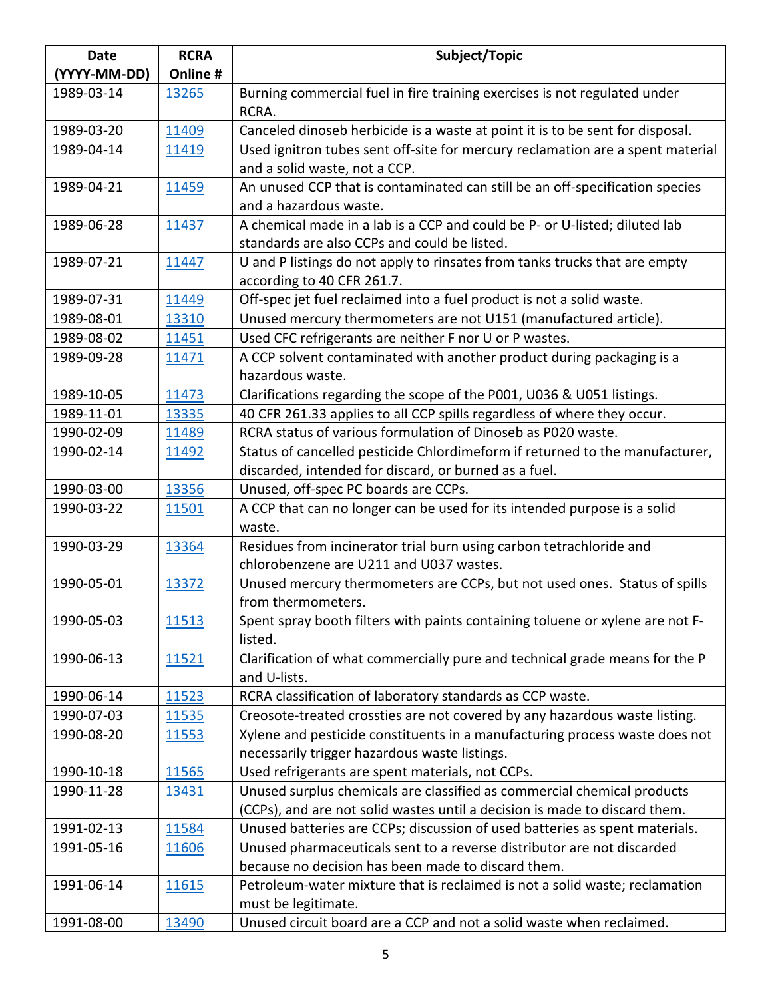| <b>Date</b>  | <b>RCRA</b> | Subject/Topic                                                                      |
|--------------|-------------|------------------------------------------------------------------------------------|
| (YYYY-MM-DD) | Online #    |                                                                                    |
| 1989-03-14   | 13265       | Burning commercial fuel in fire training exercises is not regulated under          |
|              |             | RCRA.                                                                              |
| 1989-03-20   | 11409       | Canceled dinoseb herbicide is a waste at point it is to be sent for disposal.      |
| 1989-04-14   | 11419       | Used ignitron tubes sent off-site for mercury reclamation are a spent material     |
|              |             | and a solid waste, not a CCP.                                                      |
| 1989-04-21   | 11459       | An unused CCP that is contaminated can still be an off-specification species       |
|              |             | and a hazardous waste.                                                             |
| 1989-06-28   | 11437       | A chemical made in a lab is a CCP and could be P- or U-listed; diluted lab         |
|              |             | standards are also CCPs and could be listed.                                       |
| 1989-07-21   | 11447       | U and P listings do not apply to rinsates from tanks trucks that are empty         |
|              |             | according to 40 CFR 261.7.                                                         |
| 1989-07-31   | 11449       | Off-spec jet fuel reclaimed into a fuel product is not a solid waste.              |
| 1989-08-01   | 13310       | Unused mercury thermometers are not U151 (manufactured article).                   |
| 1989-08-02   | 11451       | Used CFC refrigerants are neither F nor U or P wastes.                             |
| 1989-09-28   | 11471       | A CCP solvent contaminated with another product during packaging is a              |
|              |             | hazardous waste.                                                                   |
| 1989-10-05   | 11473       | Clarifications regarding the scope of the P001, U036 & U051 listings.              |
| 1989-11-01   | 13335       | 40 CFR 261.33 applies to all CCP spills regardless of where they occur.            |
| 1990-02-09   | 11489       | RCRA status of various formulation of Dinoseb as P020 waste.                       |
| 1990-02-14   | 11492       | Status of cancelled pesticide Chlordimeform if returned to the manufacturer,       |
|              |             | discarded, intended for discard, or burned as a fuel.                              |
| 1990-03-00   | 13356       | Unused, off-spec PC boards are CCPs.                                               |
| 1990-03-22   | 11501       | A CCP that can no longer can be used for its intended purpose is a solid<br>waste. |
| 1990-03-29   | 13364       | Residues from incinerator trial burn using carbon tetrachloride and                |
|              |             | chlorobenzene are U211 and U037 wastes.                                            |
| 1990-05-01   | 13372       | Unused mercury thermometers are CCPs, but not used ones. Status of spills          |
|              |             | from thermometers.                                                                 |
| 1990-05-03   | 11513       | Spent spray booth filters with paints containing toluene or xylene are not F-      |
|              |             | listed.                                                                            |
| 1990-06-13   | 11521       | Clarification of what commercially pure and technical grade means for the P        |
|              |             | and U-lists.                                                                       |
| 1990-06-14   | 11523       | RCRA classification of laboratory standards as CCP waste.                          |
| 1990-07-03   | 11535       | Creosote-treated crossties are not covered by any hazardous waste listing.         |
| 1990-08-20   | 11553       | Xylene and pesticide constituents in a manufacturing process waste does not        |
|              |             | necessarily trigger hazardous waste listings.                                      |
| 1990-10-18   | 11565       | Used refrigerants are spent materials, not CCPs.                                   |
| 1990-11-28   | 13431       | Unused surplus chemicals are classified as commercial chemical products            |
|              |             | (CCPs), and are not solid wastes until a decision is made to discard them.         |
| 1991-02-13   | 11584       | Unused batteries are CCPs; discussion of used batteries as spent materials.        |
| 1991-05-16   | 11606       | Unused pharmaceuticals sent to a reverse distributor are not discarded             |
|              |             | because no decision has been made to discard them.                                 |
| 1991-06-14   | 11615       | Petroleum-water mixture that is reclaimed is not a solid waste; reclamation        |
|              |             | must be legitimate.                                                                |
| 1991-08-00   | 13490       | Unused circuit board are a CCP and not a solid waste when reclaimed.               |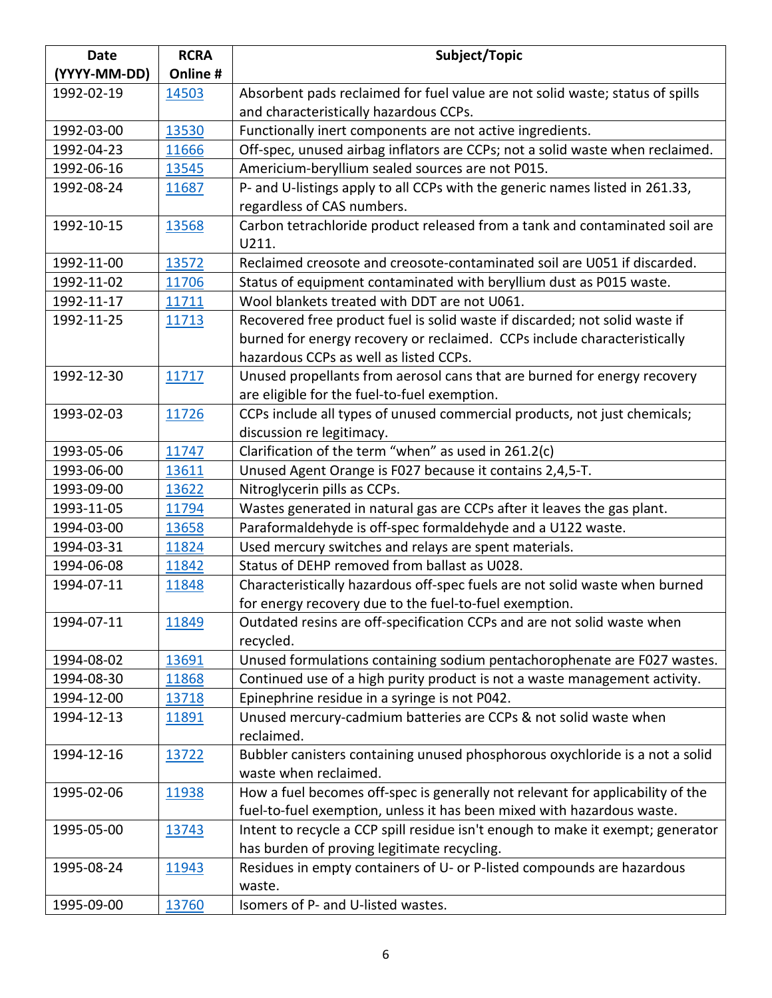| <b>Date</b>  | <b>RCRA</b> | Subject/Topic                                                                   |
|--------------|-------------|---------------------------------------------------------------------------------|
| (YYYY-MM-DD) | Online #    |                                                                                 |
| 1992-02-19   | 14503       | Absorbent pads reclaimed for fuel value are not solid waste; status of spills   |
|              |             | and characteristically hazardous CCPs.                                          |
| 1992-03-00   | 13530       | Functionally inert components are not active ingredients.                       |
| 1992-04-23   | 11666       | Off-spec, unused airbag inflators are CCPs; not a solid waste when reclaimed.   |
| 1992-06-16   | 13545       | Americium-beryllium sealed sources are not P015.                                |
| 1992-08-24   | 11687       | P- and U-listings apply to all CCPs with the generic names listed in 261.33,    |
|              |             | regardless of CAS numbers.                                                      |
| 1992-10-15   | 13568       | Carbon tetrachloride product released from a tank and contaminated soil are     |
|              |             | U211.                                                                           |
| 1992-11-00   | 13572       | Reclaimed creosote and creosote-contaminated soil are U051 if discarded.        |
| 1992-11-02   | 11706       | Status of equipment contaminated with beryllium dust as P015 waste.             |
| 1992-11-17   | 11711       | Wool blankets treated with DDT are not U061.                                    |
| 1992-11-25   | 11713       | Recovered free product fuel is solid waste if discarded; not solid waste if     |
|              |             | burned for energy recovery or reclaimed. CCPs include characteristically        |
|              |             | hazardous CCPs as well as listed CCPs.                                          |
| 1992-12-30   | 11717       | Unused propellants from aerosol cans that are burned for energy recovery        |
|              |             | are eligible for the fuel-to-fuel exemption.                                    |
| 1993-02-03   | 11726       | CCPs include all types of unused commercial products, not just chemicals;       |
|              |             | discussion re legitimacy.                                                       |
| 1993-05-06   | 11747       | Clarification of the term "when" as used in 261.2(c)                            |
| 1993-06-00   | 13611       | Unused Agent Orange is F027 because it contains 2,4,5-T.                        |
| 1993-09-00   | 13622       | Nitroglycerin pills as CCPs.                                                    |
| 1993-11-05   | 11794       | Wastes generated in natural gas are CCPs after it leaves the gas plant.         |
| 1994-03-00   | 13658       | Paraformaldehyde is off-spec formaldehyde and a U122 waste.                     |
| 1994-03-31   | 11824       | Used mercury switches and relays are spent materials.                           |
| 1994-06-08   | 11842       | Status of DEHP removed from ballast as U028.                                    |
| 1994-07-11   | 11848       | Characteristically hazardous off-spec fuels are not solid waste when burned     |
|              |             | for energy recovery due to the fuel-to-fuel exemption.                          |
| 1994-07-11   | 11849       | Outdated resins are off-specification CCPs and are not solid waste when         |
|              |             | recycled.                                                                       |
| 1994-08-02   | 13691       | Unused formulations containing sodium pentachorophenate are F027 wastes.        |
| 1994-08-30   | 11868       | Continued use of a high purity product is not a waste management activity.      |
| 1994-12-00   | 13718       | Epinephrine residue in a syringe is not P042.                                   |
| 1994-12-13   | 11891       | Unused mercury-cadmium batteries are CCPs & not solid waste when                |
|              |             | reclaimed.                                                                      |
| 1994-12-16   | 13722       | Bubbler canisters containing unused phosphorous oxychloride is a not a solid    |
|              |             | waste when reclaimed.                                                           |
| 1995-02-06   | 11938       | How a fuel becomes off-spec is generally not relevant for applicability of the  |
|              |             | fuel-to-fuel exemption, unless it has been mixed with hazardous waste.          |
| 1995-05-00   | 13743       | Intent to recycle a CCP spill residue isn't enough to make it exempt; generator |
|              |             | has burden of proving legitimate recycling.                                     |
| 1995-08-24   | 11943       | Residues in empty containers of U- or P-listed compounds are hazardous          |
|              |             | waste.                                                                          |
| 1995-09-00   | 13760       | Isomers of P- and U-listed wastes.                                              |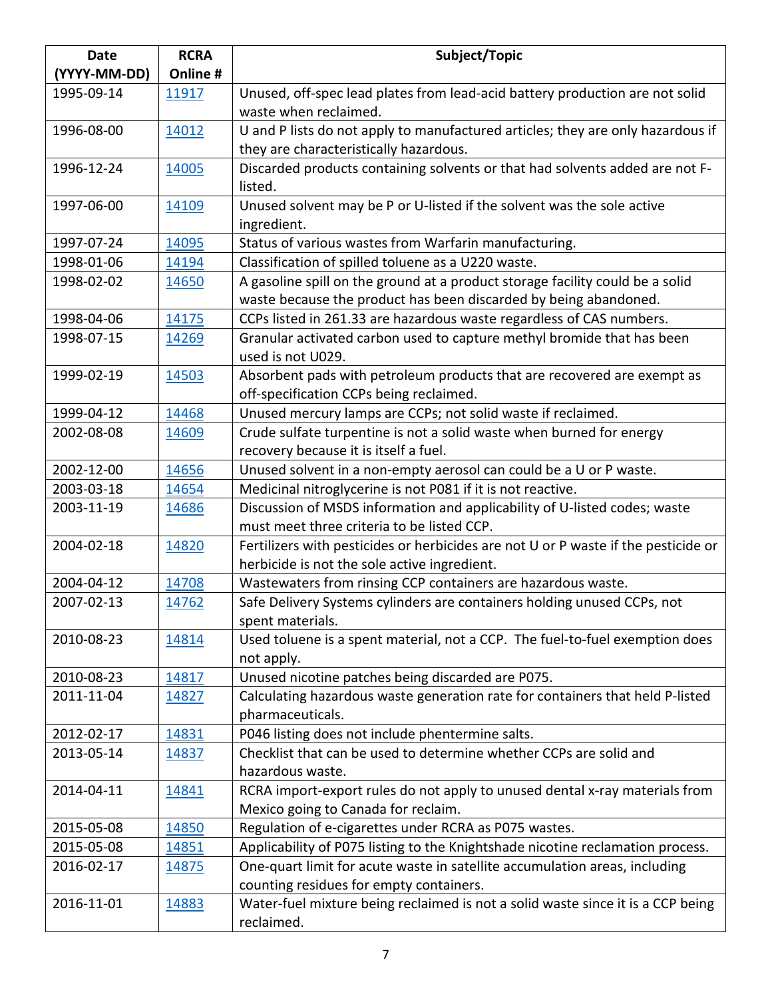| <b>Date</b>  | <b>RCRA</b> | Subject/Topic                                                                      |
|--------------|-------------|------------------------------------------------------------------------------------|
| (YYYY-MM-DD) | Online #    |                                                                                    |
| 1995-09-14   | 11917       | Unused, off-spec lead plates from lead-acid battery production are not solid       |
|              |             | waste when reclaimed.                                                              |
| 1996-08-00   | 14012       | U and P lists do not apply to manufactured articles; they are only hazardous if    |
|              |             | they are characteristically hazardous.                                             |
| 1996-12-24   | 14005       | Discarded products containing solvents or that had solvents added are not F-       |
|              |             | listed.                                                                            |
| 1997-06-00   | 14109       | Unused solvent may be P or U-listed if the solvent was the sole active             |
|              |             | ingredient.                                                                        |
| 1997-07-24   | 14095       | Status of various wastes from Warfarin manufacturing.                              |
| 1998-01-06   | 14194       | Classification of spilled toluene as a U220 waste.                                 |
| 1998-02-02   | 14650       | A gasoline spill on the ground at a product storage facility could be a solid      |
|              |             | waste because the product has been discarded by being abandoned.                   |
| 1998-04-06   | 14175       | CCPs listed in 261.33 are hazardous waste regardless of CAS numbers.               |
| 1998-07-15   | 14269       | Granular activated carbon used to capture methyl bromide that has been             |
|              |             | used is not U029.                                                                  |
| 1999-02-19   | 14503       | Absorbent pads with petroleum products that are recovered are exempt as            |
|              |             | off-specification CCPs being reclaimed.                                            |
| 1999-04-12   | 14468       | Unused mercury lamps are CCPs; not solid waste if reclaimed.                       |
| 2002-08-08   | 14609       | Crude sulfate turpentine is not a solid waste when burned for energy               |
|              |             | recovery because it is itself a fuel.                                              |
| 2002-12-00   | 14656       | Unused solvent in a non-empty aerosol can could be a U or P waste.                 |
| 2003-03-18   | 14654       | Medicinal nitroglycerine is not P081 if it is not reactive.                        |
| 2003-11-19   | 14686       | Discussion of MSDS information and applicability of U-listed codes; waste          |
|              |             | must meet three criteria to be listed CCP.                                         |
| 2004-02-18   | 14820       | Fertilizers with pesticides or herbicides are not U or P waste if the pesticide or |
|              |             | herbicide is not the sole active ingredient.                                       |
| 2004-04-12   | 14708       | Wastewaters from rinsing CCP containers are hazardous waste.                       |
| 2007-02-13   | 14762       | Safe Delivery Systems cylinders are containers holding unused CCPs, not            |
|              |             | spent materials.                                                                   |
| 2010-08-23   | 14814       | Used toluene is a spent material, not a CCP. The fuel-to-fuel exemption does       |
|              |             | not apply.                                                                         |
| 2010-08-23   | 14817       | Unused nicotine patches being discarded are P075.                                  |
| 2011-11-04   | 14827       | Calculating hazardous waste generation rate for containers that held P-listed      |
|              |             | pharmaceuticals.                                                                   |
| 2012-02-17   | 14831       | P046 listing does not include phentermine salts.                                   |
| 2013-05-14   | 14837       | Checklist that can be used to determine whether CCPs are solid and                 |
|              |             | hazardous waste.                                                                   |
| 2014-04-11   | 14841       | RCRA import-export rules do not apply to unused dental x-ray materials from        |
|              |             | Mexico going to Canada for reclaim.                                                |
| 2015-05-08   | 14850       | Regulation of e-cigarettes under RCRA as P075 wastes.                              |
| 2015-05-08   | 14851       | Applicability of P075 listing to the Knightshade nicotine reclamation process.     |
| 2016-02-17   | 14875       | One-quart limit for acute waste in satellite accumulation areas, including         |
|              |             | counting residues for empty containers.                                            |
| 2016-11-01   | 14883       | Water-fuel mixture being reclaimed is not a solid waste since it is a CCP being    |
|              |             | reclaimed.                                                                         |